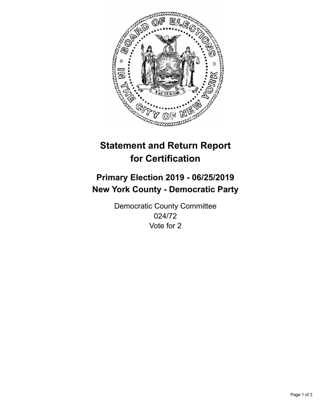

## **Statement and Return Report for Certification**

## **Primary Election 2019 - 06/25/2019 New York County - Democratic Party**

Democratic County Committee 024/72 Vote for 2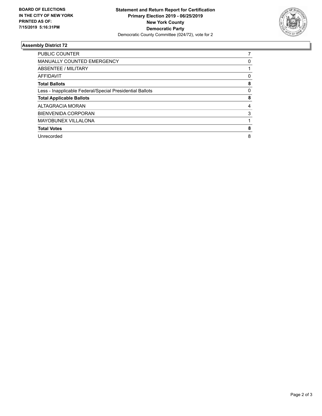

## **Assembly District 72**

| <b>PUBLIC COUNTER</b>                                    |   |
|----------------------------------------------------------|---|
| <b>MANUALLY COUNTED EMERGENCY</b>                        | 0 |
| ABSENTEE / MILITARY                                      |   |
| AFFIDAVIT                                                | 0 |
| <b>Total Ballots</b>                                     | 8 |
| Less - Inapplicable Federal/Special Presidential Ballots | 0 |
| <b>Total Applicable Ballots</b>                          | 8 |
| ALTAGRACIA MORAN                                         | 4 |
| <b>BIENVENIDA CORPORAN</b>                               | 3 |
| <b>MAYOBUNEX VILLALONA</b>                               |   |
| <b>Total Votes</b>                                       | 8 |
| Unrecorded                                               | 8 |